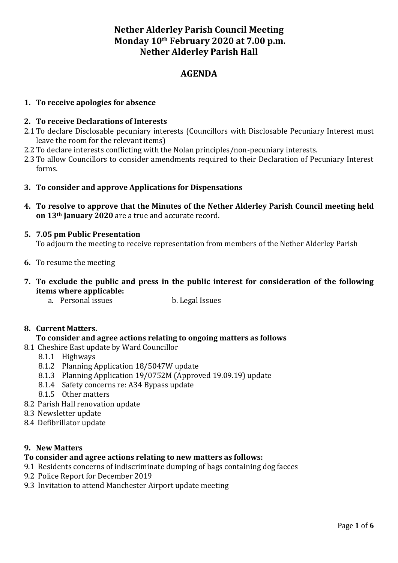# **Nether Alderley Parish Council Meeting Monday 10th February 2020 at 7.00 p.m. Nether Alderley Parish Hall**

# **AGENDA**

#### **1. To receive apologies for absence**

#### **2. To receive Declarations of Interests**

- 2.1 To declare Disclosable pecuniary interests (Councillors with Disclosable Pecuniary Interest must leave the room for the relevant items)
- 2.2 To declare interests conflicting with the Nolan principles/non-pecuniary interests.
- 2.3 To allow Councillors to consider amendments required to their Declaration of Pecuniary Interest forms.
- **3. To consider and approve Applications for Dispensations**
- **4. To resolve to approve that the Minutes of the Nether Alderley Parish Council meeting held on 13th January 2020** are a true and accurate record.

## **5. 7.05 pm Public Presentation**

To adjourn the meeting to receive representation from members of the Nether Alderley Parish

- **6.** To resume the meeting
- **7. To exclude the public and press in the public interest for consideration of the following items where applicable:**
	- a. Personal issues b. Legal Issues

#### **8. Current Matters.**

- **To consider and agree actions relating to ongoing matters as follows**
- 8.1 Cheshire East update by Ward Councillor
	- 8.1.1 Highways
	- 8.1.2 Planning Application 18/5047W update
	- 8.1.3 Planning Application 19/0752M (Approved 19.09.19) update
	- 8.1.4 Safety concerns re: A34 Bypass update
	- 8.1.5 Other matters
- 8.2 Parish Hall renovation update
- 8.3 Newsletter update
- 8.4 Defibrillator update

#### **9. New Matters**

#### **To consider and agree actions relating to new matters as follows:**

- 9.1 Residents concerns of indiscriminate dumping of bags containing dog faeces
- 9.2 Police Report for December 2019
- 9.3 Invitation to attend Manchester Airport update meeting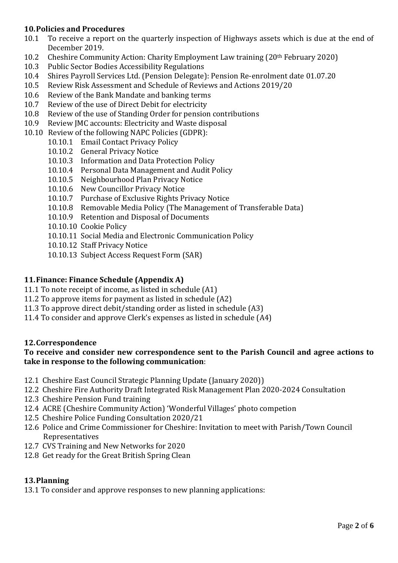### **10.Policies and Procedures**

- 10.1 To receive a report on the quarterly inspection of Highways assets which is due at the end of December 2019.
- 10.2 Cheshire Community Action: Charity Employment Law training (20th February 2020)
- 10.3 Public Sector Bodies Accessibility Regulations
- 10.4 Shires Payroll Services Ltd. (Pension Delegate): Pension Re-enrolment date 01.07.20
- 10.5 Review Risk Assessment and Schedule of Reviews and Actions 2019/20
- 10.6 Review of the Bank Mandate and banking terms
- 10.7 Review of the use of Direct Debit for electricity
- 10.8 Review of the use of Standing Order for pension contributions
- 10.9 Review JMC accounts: Electricity and Waste disposal
- 10.10 Review of the following NAPC Policies (GDPR):
	- 10.10.1 Email Contact Privacy Policy
	- 10.10.2 General Privacy Notice
	- 10.10.3 Information and Data Protection Policy
	- 10.10.4 Personal Data Management and Audit Policy
	- 10.10.5 Neighbourhood Plan Privacy Notice
	- 10.10.6 New Councillor Privacy Notice
	- 10.10.7 Purchase of Exclusive Rights Privacy Notice
	- 10.10.8 Removable Media Policy (The Management of Transferable Data)
	- 10.10.9 Retention and Disposal of Documents
	- 10.10.10 Cookie Policy
	- 10.10.11 Social Media and Electronic Communication Policy
	- 10.10.12 Staff Privacy Notice
	- 10.10.13 Subject Access Request Form (SAR)

### **11.Finance: Finance Schedule (Appendix A)**

- 11.1 To note receipt of income, as listed in schedule (A1)
- 11.2 To approve items for payment as listed in schedule (A2)
- 11.3 To approve direct debit/standing order as listed in schedule (A3)
- 11.4 To consider and approve Clerk's expenses as listed in schedule (A4)

#### **12.Correspondence**

#### **To receive and consider new correspondence sent to the Parish Council and agree actions to take in response to the following communication**:

- 12.1 Cheshire East Council Strategic Planning Update (January 2020))
- 12.2 Cheshire Fire Authority Draft Integrated Risk Management Plan 2020-2024 Consultation
- 12.3 Cheshire Pension Fund training
- 12.4 ACRE (Cheshire Community Action) 'Wonderful Villages' photo competion
- 12.5 Cheshire Police Funding Consultation 2020/21
- 12.6 Police and Crime Commissioner for Cheshire: Invitation to meet with Parish/Town Council Representatives
- 12.7 CVS Training and New Networks for 2020
- 12.8 Get ready for the Great British Spring Clean

#### **13.Planning**

13.1 To consider and approve responses to new planning applications: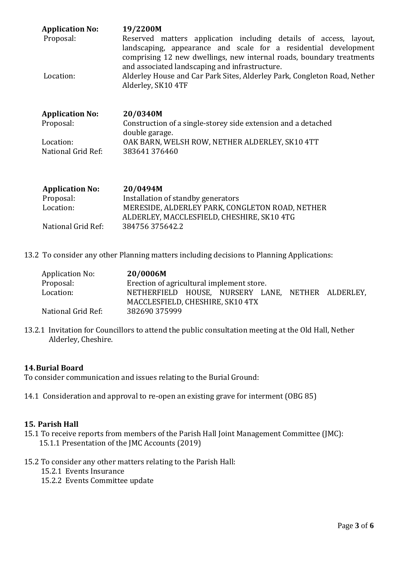| <b>Application No:</b><br>Proposal: | 19/2200M<br>Reserved matters application including details of access, layout,<br>landscaping, appearance and scale for a residential development<br>comprising 12 new dwellings, new internal roads, boundary treatments |  |  |  |  |
|-------------------------------------|--------------------------------------------------------------------------------------------------------------------------------------------------------------------------------------------------------------------------|--|--|--|--|
| Location:                           | and associated landscaping and infrastructure.<br>Alderley House and Car Park Sites, Alderley Park, Congleton Road, Nether<br>Alderley, SK10 4TF                                                                         |  |  |  |  |
| <b>Application No:</b>              | 20/0340M                                                                                                                                                                                                                 |  |  |  |  |
| Proposal:                           | Construction of a single-storey side extension and a detached<br>double garage.                                                                                                                                          |  |  |  |  |
| Location:                           | OAK BARN, WELSH ROW, NETHER ALDERLEY, SK10 4TT                                                                                                                                                                           |  |  |  |  |
| National Grid Ref:                  | 383641376460                                                                                                                                                                                                             |  |  |  |  |

| <b>Application No:</b> | 20/0494M                                        |
|------------------------|-------------------------------------------------|
| Proposal:              | Installation of standby generators              |
| Location:              | MERESIDE, ALDERLEY PARK, CONGLETON ROAD, NETHER |
|                        | ALDERLEY, MACCLESFIELD, CHESHIRE, SK10 4TG      |
| National Grid Ref:     | 384756 375642.2                                 |

13.2 To consider any other Planning matters including decisions to Planning Applications:

| Application No:    | 20/0006M                                          |  |  |  |  |  |
|--------------------|---------------------------------------------------|--|--|--|--|--|
| Proposal:          | Erection of agricultural implement store.         |  |  |  |  |  |
| Location:          | NETHERFIELD HOUSE, NURSERY LANE, NETHER ALDERLEY, |  |  |  |  |  |
|                    | MACCLESFIELD, CHESHIRE, SK10 4TX                  |  |  |  |  |  |
| National Grid Ref: | 382690 375999                                     |  |  |  |  |  |

13.2.1 Invitation for Councillors to attend the public consultation meeting at the Old Hall, Nether Alderley, Cheshire.

#### **14.Burial Board**

To consider communication and issues relating to the Burial Ground:

14.1 Consideration and approval to re-open an existing grave for interment (OBG 85)

#### **15. Parish Hall**

- 15.1 To receive reports from members of the Parish Hall Joint Management Committee (JMC): 15.1.1 Presentation of the JMC Accounts (2019)
- 15.2 To consider any other matters relating to the Parish Hall:
	- 15.2.1 Events Insurance
	- 15.2.2 Events Committee update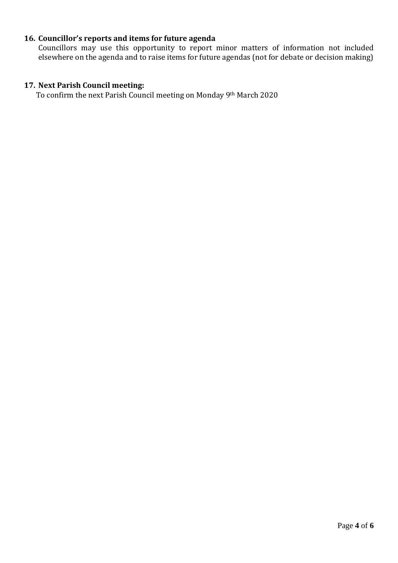## **16. Councillor's reports and items for future agenda**

Councillors may use this opportunity to report minor matters of information not included elsewhere on the agenda and to raise items for future agendas (not for debate or decision making)

### **17. Next Parish Council meeting:**

To confirm the next Parish Council meeting on Monday 9th March 2020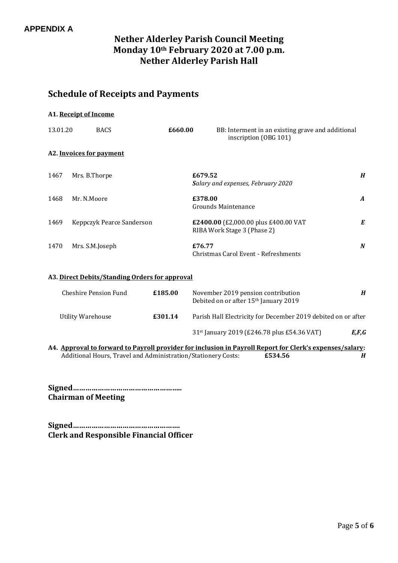# **Nether Alderley Parish Council Meeting Monday 10th February 2020 at 7.00 p.m. Nether Alderley Parish Hall**

# **Schedule of Receipts and Payments**

|          | A1. Receipt of Income     |         |                                                                            |                  |
|----------|---------------------------|---------|----------------------------------------------------------------------------|------------------|
| 13.01.20 | <b>BACS</b>               | £660.00 | BB: Interment in an existing grave and additional<br>inscription (OBG 101) |                  |
|          | A2. Invoices for payment  |         |                                                                            |                  |
| 1467     | Mrs. B.Thorpe             | £679.52 | Salary and expenses, February 2020                                         | $\boldsymbol{H}$ |
| 1468     | Mr. N.Moore               | £378.00 | <b>Grounds Maintenance</b>                                                 | $\boldsymbol{A}$ |
| 1469     | Keppczyk Pearce Sanderson |         | £2400.00 (£2,000.00 plus £400.00 VAT<br>RIBA Work Stage 3 (Phase 2)        | E                |
| 1470     | Mrs. S.M.Joseph           | £76.77  | Christmas Carol Event - Refreshments                                       | N                |

#### **A3. Direct Debits/Standing Orders for approval**

| Cheshire Pension Fund | £185.00 | November 2019 pension contribution<br>Debited on or after 15 <sup>th</sup> January 2019 | H     |
|-----------------------|---------|-----------------------------------------------------------------------------------------|-------|
| Utility Warehouse     | £301.14 | Parish Hall Electricity for December 2019 debited on or after                           |       |
|                       |         | 31 <sup>st</sup> January 2019 (£246.78 plus £54.36 VAT)                                 | E,F,G |

**A4. Approval to forward to Payroll provider for inclusion in Payroll Report for Clerk's expenses/salary:** Additional Hours, Travel and Administration/Stationery Costs: **£534.56** *H*

**Signed…………………………………………….. Chairman of Meeting**

**Signed……………………………………………. Clerk and Responsible Financial Officer**